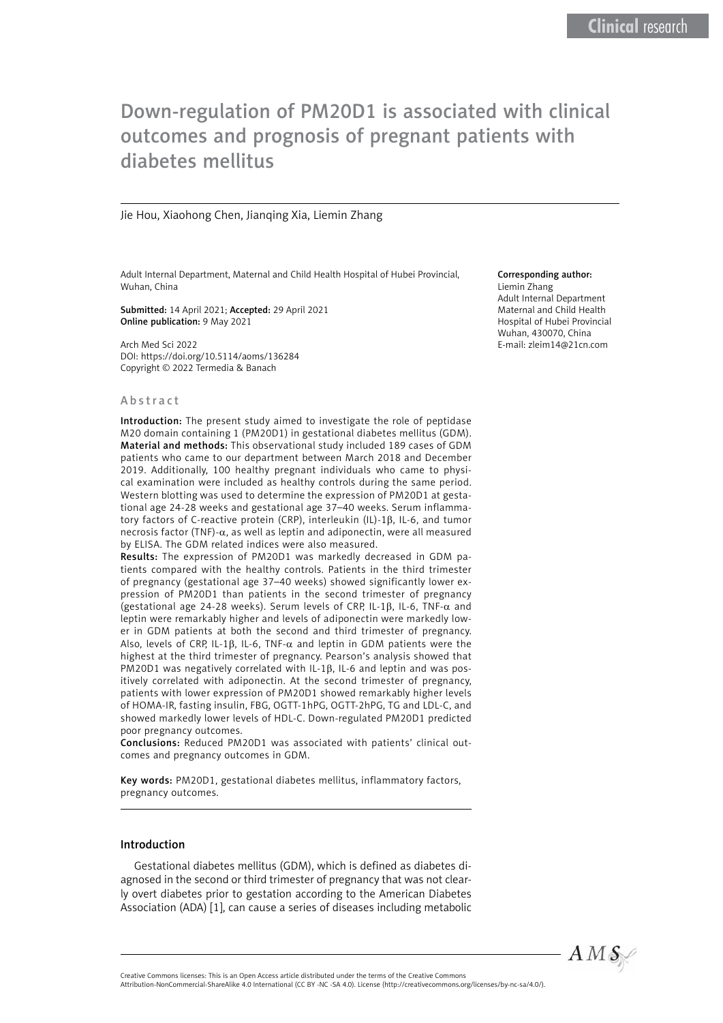# Down-regulation of PM20D1 is associated with clinical outcomes and prognosis of pregnant patients with diabetes mellitus

#### Jie Hou, Xiaohong Chen, Jianqing Xia, Liemin Zhang

Adult Internal Department, Maternal and Child Health Hospital of Hubei Provincial, Wuhan, China

Submitted: 14 April 2021; Accepted: 29 April 2021 Online publication: 9 May 2021

Arch Med Sci 2022 DOI: https://doi.org/10.5114/aoms/136284 Copyright © 2022 Termedia & Banach

#### Abstract

Introduction: The present study aimed to investigate the role of peptidase M20 domain containing 1 (PM20D1) in gestational diabetes mellitus (GDM). Material and methods: This observational study included 189 cases of GDM patients who came to our department between March 2018 and December 2019. Additionally, 100 healthy pregnant individuals who came to physical examination were included as healthy controls during the same period. Western blotting was used to determine the expression of PM20D1 at gestational age 24-28 weeks and gestational age 37–40 weeks. Serum inflammatory factors of C-reactive protein (CRP), interleukin (IL)-1β, IL-6, and tumor necrosis factor (TNF)- $\alpha$ , as well as leptin and adiponectin, were all measured by ELISA. The GDM related indices were also measured.

Results: The expression of PM20D1 was markedly decreased in GDM patients compared with the healthy controls. Patients in the third trimester of pregnancy (gestational age 37–40 weeks) showed significantly lower expression of PM20D1 than patients in the second trimester of pregnancy (gestational age 24-28 weeks). Serum levels of CRP, IL-1β, IL-6, TNF-α and leptin were remarkably higher and levels of adiponectin were markedly lower in GDM patients at both the second and third trimester of pregnancy. Also, levels of CRP, IL-1 $\beta$ , IL-6, TNF- $\alpha$  and leptin in GDM patients were the highest at the third trimester of pregnancy. Pearson's analysis showed that PM20D1 was negatively correlated with IL-1β, IL-6 and leptin and was positively correlated with adiponectin. At the second trimester of pregnancy, patients with lower expression of PM20D1 showed remarkably higher levels of HOMA-IR, fasting insulin, FBG, OGTT-1hPG, OGTT-2hPG, TG and LDL-C, and showed markedly lower levels of HDL-C. Down-regulated PM20D1 predicted poor pregnancy outcomes.

Conclusions: Reduced PM20D1 was associated with patients' clinical outcomes and pregnancy outcomes in GDM.

Key words: PM20D1, gestational diabetes mellitus, inflammatory factors, pregnancy outcomes.

#### Introduction

Gestational diabetes mellitus (GDM), which is defined as diabetes diagnosed in the second or third trimester of pregnancy that was not clearly overt diabetes prior to gestation according to the American Diabetes Association (ADA) [1], can cause a series of diseases including metabolic

#### Corresponding author:

Liemin Zhang Adult Internal Department Maternal and Child Health Hospital of Hubei Provincial Wuhan, 430070, China E-mail: [zleim14@21cn.com](mailto:zleim14@21cn.com)



Attribution-NonCommercial-ShareAlike 4.0 International (CC BY -NC -SA 4.0). License (http://creativecommons.org/licenses/by-nc-sa/4.0/).

Creative Commons licenses: This is an Open Access article distributed under the terms of the Creative Commons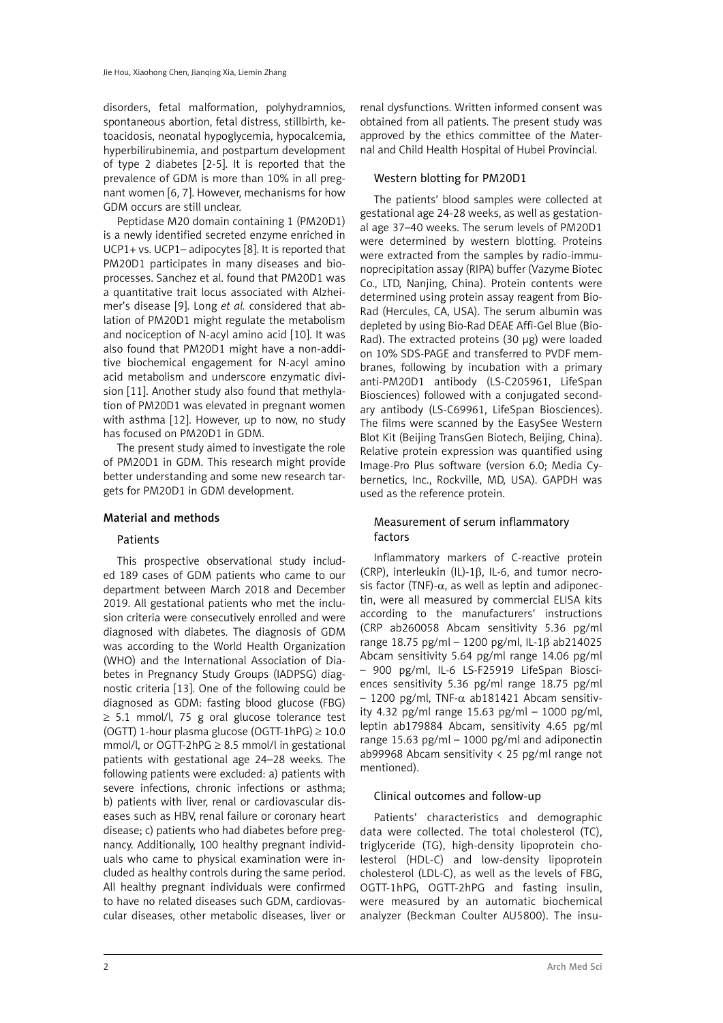disorders, fetal malformation, polyhydramnios, spontaneous abortion, fetal distress, stillbirth, ketoacidosis, neonatal hypoglycemia, hypocalcemia, hyperbilirubinemia, and postpartum development of type 2 diabetes [2-5]. It is reported that the prevalence of GDM is more than 10% in all pregnant women [6, 7]. However, mechanisms for how GDM occurs are still unclear.

Peptidase M20 domain containing 1 (PM20D1) is a newly identified secreted enzyme enriched in UCP1+ vs. UCP1– adipocytes [8]. It is reported that PM20D1 participates in many diseases and bioprocesses. Sanchez et al. found that PM20D1 was a quantitative trait locus associated with Alzheimer's disease [9]. Long *et al.* considered that ablation of PM20D1 might regulate the metabolism and nociception of N-acyl amino acid [10]. It was also found that PM20D1 might have a non-additive biochemical engagement for N-acyl amino acid metabolism and underscore enzymatic division [11]. Another study also found that methylation of PM20D1 was elevated in pregnant women with asthma [12]. However, up to now, no study has focused on PM20D1 in GDM.

The present study aimed to investigate the role of PM20D1 in GDM. This research might provide better understanding and some new research targets for PM20D1 in GDM development.

#### Material and methods

#### Patients

This prospective observational study included 189 cases of GDM patients who came to our department between March 2018 and December 2019. All gestational patients who met the inclusion criteria were consecutively enrolled and were diagnosed with diabetes. The diagnosis of GDM was according to the World Health Organization (WHO) and the International Association of Diabetes in Pregnancy Study Groups (IADPSG) diagnostic criteria [13]. One of the following could be diagnosed as GDM: fasting blood glucose (FBG) ≥ 5.1 mmol/l, 75 g oral glucose tolerance test (OGTT) 1-hour plasma glucose (OGTT-1hPG) ≥ 10.0 mmol/l, or OGTT-2hPG  $\geq$  8.5 mmol/l in gestational patients with gestational age 24–28 weeks. The following patients were excluded: a) patients with severe infections, chronic infections or asthma; b) patients with liver, renal or cardiovascular diseases such as HBV, renal failure or coronary heart disease; c) patients who had diabetes before pregnancy. Additionally, 100 healthy pregnant individuals who came to physical examination were included as healthy controls during the same period. All healthy pregnant individuals were confirmed to have no related diseases such GDM, cardiovascular diseases, other metabolic diseases, liver or

renal dysfunctions. Written informed consent was obtained from all patients. The present study was approved by the ethics committee of the Maternal and Child Health Hospital of Hubei Provincial.

#### Western blotting for PM20D1

The patients' blood samples were collected at gestational age 24-28 weeks, as well as gestational age 37–40 weeks. The serum levels of PM20D1 were determined by western blotting. Proteins were extracted from the samples by radio-immunoprecipitation assay (RIPA) buffer (Vazyme Biotec Co., LTD, Nanjing, China). Protein contents were determined using protein assay reagent from Bio-Rad (Hercules, CA, USA). The serum albumin was depleted by using Bio-Rad DEAE Affi-Gel Blue (Bio-Rad). The extracted proteins (30 μg) were loaded on 10% SDS-PAGE and transferred to PVDF membranes, following by incubation with a primary anti-PM20D1 antibody (LS-C205961, LifeSpan Biosciences) followed with a conjugated secondary antibody (LS-C69961, LifeSpan Biosciences). The films were scanned by the EasySee Western Blot Kit (Beijing TransGen Biotech, Beijing, China). Relative protein expression was quantified using Image-Pro Plus software (version 6.0; Media Cybernetics, Inc., Rockville, MD, USA). GAPDH was used as the reference protein.

## Measurement of serum inflammatory factors

Inflammatory markers of C-reactive protein (CRP), interleukin (IL)-1β, IL-6, and tumor necrosis factor (TNF)- $\alpha$ , as well as leptin and adiponectin, were all measured by commercial ELISA kits according to the manufacturers' instructions (CRP ab260058 Abcam sensitivity 5.36 pg/ml range 18.75 pg/ml – 1200 pg/ml, IL-1β ab214025 Abcam sensitivity 5.64 pg/ml range 14.06 pg/ml – 900 pg/ml, IL-6 LS-F25919 LifeSpan Biosciences sensitivity 5.36 pg/ml range 18.75 pg/ml – 1200 pg/ml, TNF-α ab181421 Abcam sensitivity 4.32 pg/ml range 15.63 pg/ml – 1000 pg/ml, leptin ab179884 Abcam, sensitivity 4.65 pg/ml range 15.63 pg/ml – 1000 pg/ml and adiponectin ab99968 Abcam sensitivity < 25 pg/ml range not mentioned).

#### Clinical outcomes and follow-up

Patients' characteristics and demographic data were collected. The total cholesterol (TC), triglyceride (TG), high-density lipoprotein cholesterol (HDL-C) and low-density lipoprotein cholesterol (LDL-C), as well as the levels of FBG, OGTT-1hPG, OGTT-2hPG and fasting insulin, were measured by an automatic biochemical analyzer (Beckman Coulter AU5800). The insu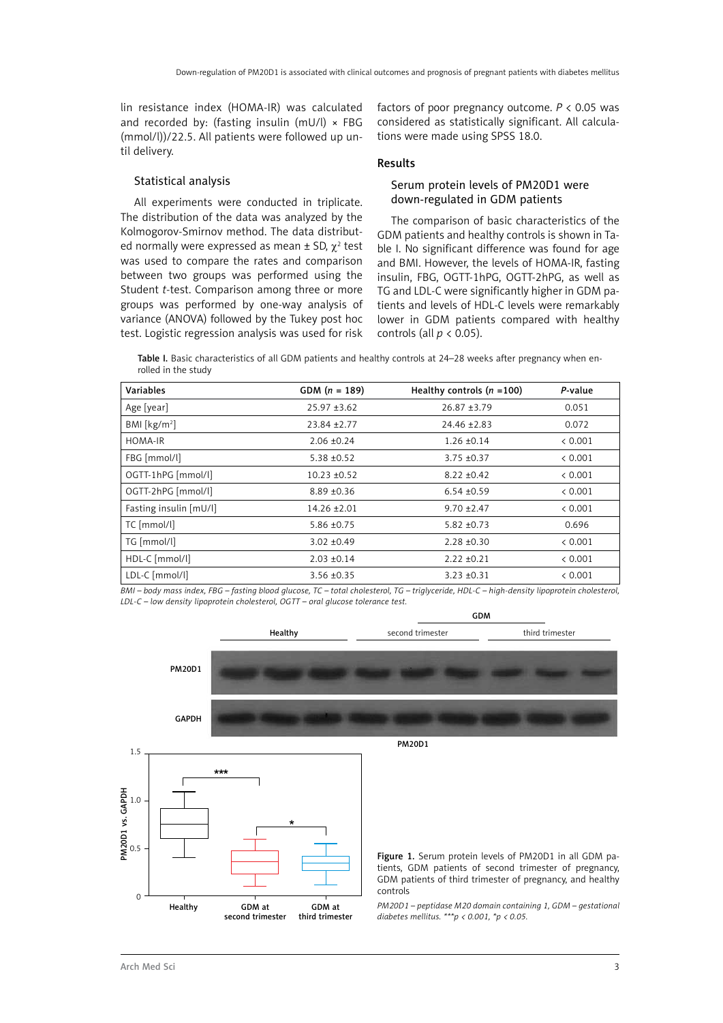lin resistance index (HOMA-IR) was calculated and recorded by: (fasting insulin (mU/l)  $\times$  FBG (mmol/l))/22.5. All patients were followed up until delivery.

#### Statistical analysis

All experiments were conducted in triplicate. The distribution of the data was analyzed by the Kolmogorov-Smirnov method. The data distributed normally were expressed as mean  $\pm$  SD,  $\chi^2$  test was used to compare the rates and comparison between two groups was performed using the Student *t*-test. Comparison among three or more groups was performed by one-way analysis of variance (ANOVA) followed by the Tukey post hoc test. Logistic regression analysis was used for risk

factors of poor pregnancy outcome. *P* < 0.05 was considered as statistically significant. All calculations were made using SPSS 18.0.

#### Results

### Serum protein levels of PM20D1 were down-regulated in GDM patients

The comparison of basic characteristics of the GDM patients and healthy controls is shown in Table I. No significant difference was found for age and BMI. However, the levels of HOMA-IR, fasting insulin, FBG, OGTT-1hPG, OGTT-2hPG, as well as TG and LDL-C were significantly higher in GDM patients and levels of HDL-C levels were remarkably lower in GDM patients compared with healthy controls (all *p* < 0.05).

GDM

Table I. Basic characteristics of all GDM patients and healthy controls at 24–28 weeks after pregnancy when enrolled in the study

| Variables              | GDM $(n = 189)$  | Healthy controls $(n = 100)$ | P-value |
|------------------------|------------------|------------------------------|---------|
| Age [year]             | $25.97 \pm 3.62$ | $26.87 + 3.79$               | 0.051   |
| BMI [ $kg/m2$ ]        | $23.84 \pm 2.77$ | $24.46 \pm 2.83$             | 0.072   |
| HOMA-IR                | $2.06 \pm 0.24$  | $1.26 \pm 0.14$              | < 0.001 |
| FBG [mmol/l]           | $5.38 + 0.52$    | $3.75 + 0.37$                | < 0.001 |
| OGTT-1hPG [mmol/l]     | $10.23 + 0.52$   | $8.22 + 0.42$                | < 0.001 |
| OGTT-2hPG [mmol/l]     | $8.89 \pm 0.36$  | $6.54 \pm 0.59$              | < 0.001 |
| Fasting insulin [mU/l] | $14.26 \pm 2.01$ | $9.70 \pm 2.47$              | < 0.001 |
| TC [mmol/l]            | $5.86 \pm 0.75$  | $5.82 \pm 0.73$              | 0.696   |
| TG [mmol/l]            | $3.02 + 0.49$    | $2.28 \pm 0.30$              | < 0.001 |
| HDL-C [mmol/l]         | $2.03 \pm 0.14$  | $2.22 \pm 0.21$              | < 0.001 |
| LDL-C [mmol/l]         | $3.56 \pm 0.35$  | $3.23 \pm 0.31$              | < 0.001 |

*BMI – body mass index, FBG – fasting blood glucose, TC – total cholesterol, TG – triglyceride, HDL-C – high-density lipoprotein cholesterol, LDL-C – low density lipoprotein cholesterol, OGTT – oral glucose tolerance test.*

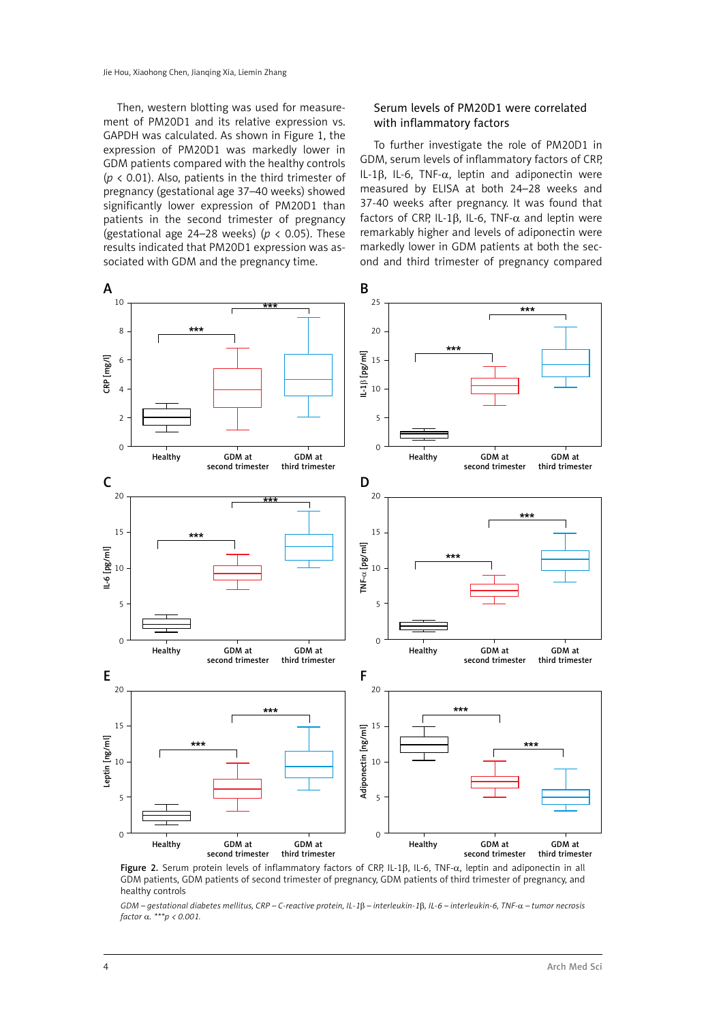Then, western blotting was used for measurement of PM20D1 and its relative expression vs. GAPDH was calculated. As shown in Figure 1, the expression of PM20D1 was markedly lower in GDM patients compared with the healthy controls  $(p < 0.01)$ . Also, patients in the third trimester of pregnancy (gestational age 37–40 weeks) showed significantly lower expression of PM20D1 than patients in the second trimester of pregnancy (gestational age 24–28 weeks) (*p* < 0.05). These results indicated that PM20D1 expression was associated with GDM and the pregnancy time.

#### Serum levels of PM20D1 were correlated with inflammatory factors

To further investigate the role of PM20D1 in GDM, serum levels of inflammatory factors of CRP, IL-1 $\beta$ , IL-6, TNF- $\alpha$ , leptin and adiponectin were measured by ELISA at both 24–28 weeks and 37-40 weeks after pregnancy. It was found that factors of CRP, IL-1 $\beta$ , IL-6, TNF- $\alpha$  and leptin were remarkably higher and levels of adiponectin were markedly lower in GDM patients at both the second and third trimester of pregnancy compared



Figure 2. Serum protein levels of inflammatory factors of CRP, IL-1β, IL-6, TNF-α, leptin and adiponectin in all GDM patients, GDM patients of second trimester of pregnancy, GDM patients of third trimester of pregnancy, and healthy controls

*GDM – gestational diabetes mellitus, CRP – C-reactive protein, IL-1*β *– interleukin-1*β*, IL-6 – interleukin-6, TNF-*α *– tumor necrosis factor* α*. \*\*\*p < 0.001.*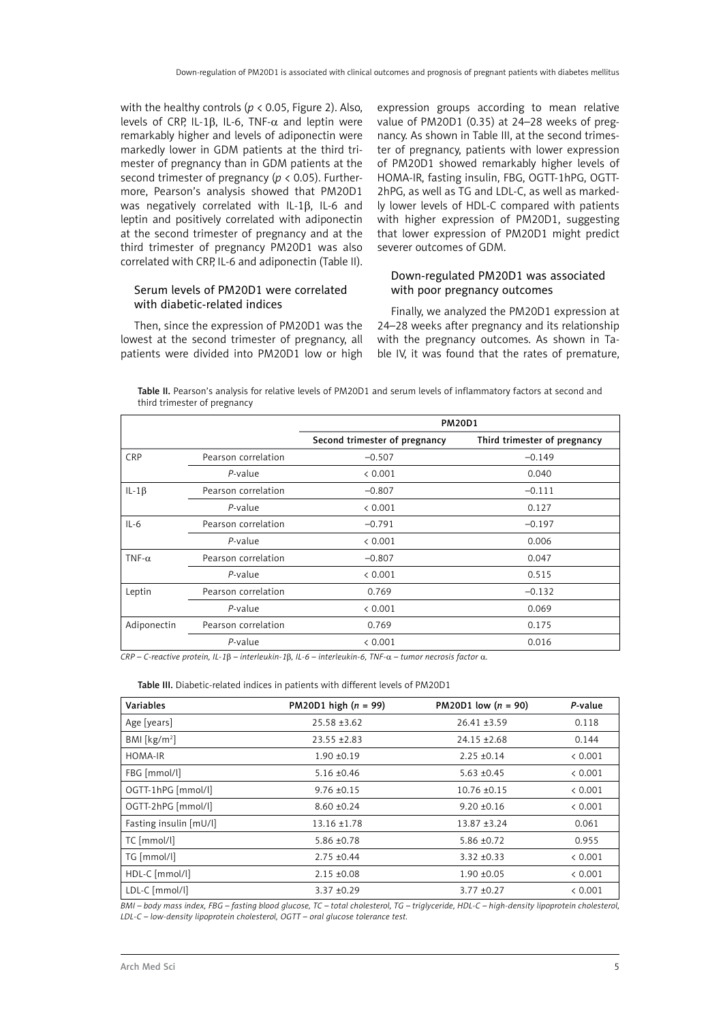with the healthy controls ( $p < 0.05$ , Figure 2). Also, levels of CRP, IL-1β, IL-6, TNF- $\alpha$  and leptin were remarkably higher and levels of adiponectin were markedly lower in GDM patients at the third trimester of pregnancy than in GDM patients at the second trimester of pregnancy (*p* < 0.05). Furthermore, Pearson's analysis showed that PM20D1 was negatively correlated with IL-1β, IL-6 and leptin and positively correlated with adiponectin at the second trimester of pregnancy and at the third trimester of pregnancy PM20D1 was also correlated with CRP, IL-6 and adiponectin (Table II).

### Serum levels of PM20D1 were correlated with diabetic-related indices

Then, since the expression of PM20D1 was the lowest at the second trimester of pregnancy, all patients were divided into PM20D1 low or high expression groups according to mean relative value of PM20D1 (0.35) at 24–28 weeks of pregnancy. As shown in Table III, at the second trimester of pregnancy, patients with lower expression of PM20D1 showed remarkably higher levels of HOMA-IR, fasting insulin, FBG, OGTT-1hPG, OGTT-2hPG, as well as TG and LDL-C, as well as markedly lower levels of HDL-C compared with patients with higher expression of PM20D1, suggesting that lower expression of PM20D1 might predict severer outcomes of GDM.

### Down-regulated PM20D1 was associated with poor pregnancy outcomes

Finally, we analyzed the PM20D1 expression at 24–28 weeks after pregnancy and its relationship with the pregnancy outcomes. As shown in Table IV, it was found that the rates of premature,

|                              | Table II. Pearson's analysis for relative levels of PM20D1 and serum levels of inflammatory factors at second and |
|------------------------------|-------------------------------------------------------------------------------------------------------------------|
| third trimester of pregnancy |                                                                                                                   |

|               |                     | <b>PM20D1</b>                 |                              |  |
|---------------|---------------------|-------------------------------|------------------------------|--|
|               |                     | Second trimester of pregnancy | Third trimester of pregnancy |  |
| <b>CRP</b>    | Pearson correlation | $-0.507$                      | $-0.149$                     |  |
|               | $P$ -value          | < 0.001                       | 0.040                        |  |
| IL-1 $\beta$  | Pearson correlation | $-0.807$                      | $-0.111$                     |  |
|               | $P$ -value          | < 0.001                       | 0.127                        |  |
| $IL-6$        | Pearson correlation | $-0.791$                      | $-0.197$                     |  |
|               | $P$ -value          | < 0.001                       | 0.006                        |  |
| TNF- $\alpha$ | Pearson correlation | $-0.807$                      | 0.047                        |  |
|               | $P$ -value          | < 0.001                       | 0.515                        |  |
| Leptin        | Pearson correlation | 0.769                         | $-0.132$                     |  |
|               | $P$ -value          | < 0.001                       | 0.069                        |  |
| Adiponectin   | Pearson correlation | 0.769                         | 0.175                        |  |
|               | $P$ -value          | < 0.001                       | 0.016                        |  |

*CRP – C-reactive protein, IL-1*β *– interleukin-1*β*, IL-6 – interleukin-6, TNF-*α *– tumor necrosis factor* α*.* 

Table III. Diabetic-related indices in patients with different levels of PM20D1

| Variables              | <b>PM20D1</b> high $(n = 99)$ | PM20D1 low $(n = 90)$ | P-value |
|------------------------|-------------------------------|-----------------------|---------|
| Age [years]            | $25.58 \pm 3.62$              | $26.41 \pm 3.59$      | 0.118   |
| BMI [ $kg/m2$ ]        | $23.55 \pm 2.83$              | $24.15 \pm 2.68$      | 0.144   |
| HOMA-IR                | $1.90 + 0.19$                 | $2.25 + 0.14$         | & 0.001 |
| FBG [mmol/l]           | $5.16 \pm 0.46$               | $5.63 + 0.45$         | < 0.001 |
| OGTT-1hPG [mmol/l]     | $9.76 \pm 0.15$               | $10.76 \pm 0.15$      | < 0.001 |
| OGTT-2hPG [mmol/l]     | $8.60 + 0.24$                 | $9.20 + 0.16$         | < 0.001 |
| Fasting insulin [mU/l] | $13.16 \pm 1.78$              | $13.87 + 3.24$        | 0.061   |
| TC [mmol/l]            | $5.86 \pm 0.78$               | $5.86 \pm 0.72$       | 0.955   |
| TG [mmol/l]            | $2.75 + 0.44$                 | $3.32 + 0.33$         | < 0.001 |
| HDL-C [mmol/l]         | $2.15 \pm 0.08$               | $1.90 + 0.05$         | & 0.001 |
| LDL-C [mmol/l]         | $3.37 + 0.29$                 | $3.77 + 0.27$         | & 0.001 |

*BMI – body mass index, FBG – fasting blood glucose, TC – total cholesterol, TG – triglyceride, HDL-C – high-density lipoprotein cholesterol, LDL-C – low-density lipoprotein cholesterol, OGTT – oral glucose tolerance test.*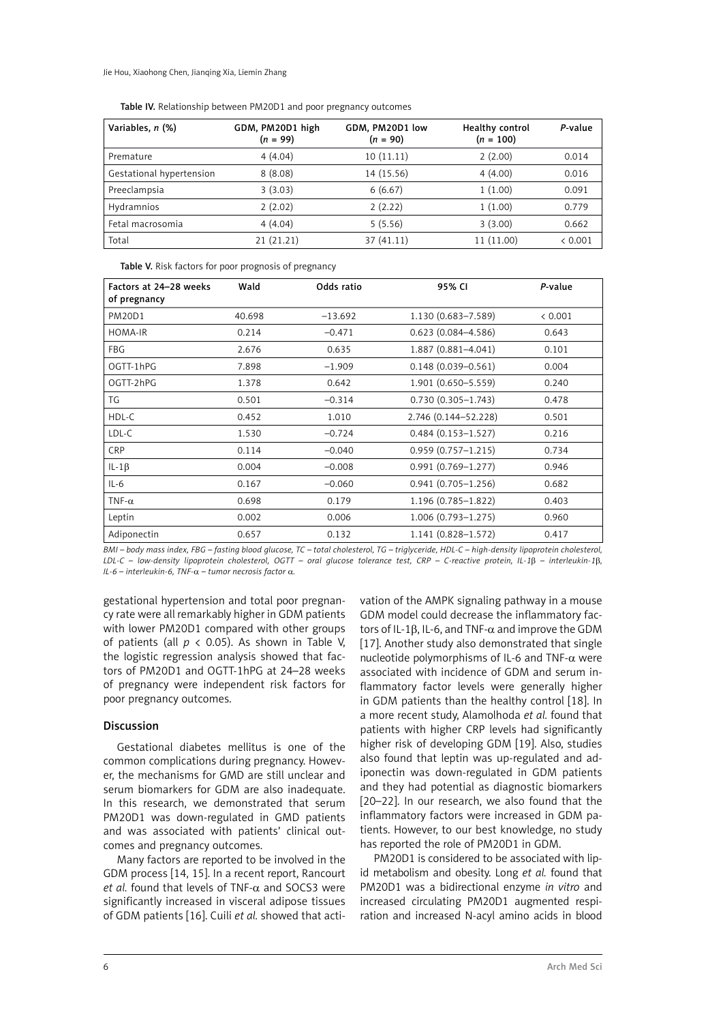Jie Hou, Xiaohong Chen, Jianqing Xia, Liemin Zhang

| Variables, n (%)         | GDM, PM20D1 high<br>$(n = 99)$ | GDM, PM20D1 low<br>$(n = 90)$ | Healthy control<br>$(n = 100)$ | P-value |
|--------------------------|--------------------------------|-------------------------------|--------------------------------|---------|
| Premature                | 4(4.04)                        | 10(11.11)                     | 2(2.00)                        | 0.014   |
| Gestational hypertension | 8(8.08)                        | 14 (15.56)                    | 4(4.00)                        | 0.016   |
| Preeclampsia             | 3(3.03)                        | 6(6.67)                       | 1(1.00)                        | 0.091   |
| Hydramnios               | 2(2.02)                        | 2(2.22)                       | 1(1.00)                        | 0.779   |
| Fetal macrosomia         | 4(4.04)                        | 5(5.56)                       | 3(3.00)                        | 0.662   |
| Total                    | 21(21.21)                      | 37 (41.11)                    | 11 (11.00)                     | & 0.001 |

Table IV. Relationship between PM20D1 and poor pregnancy outcomes

Table V. Risk factors for poor prognosis of pregnancy

| Factors at 24-28 weeks<br>of pregnancy | Wald   | Odds ratio | 95% CI                 | P-value |
|----------------------------------------|--------|------------|------------------------|---------|
| <b>PM20D1</b>                          | 40.698 | $-13.692$  | 1.130 (0.683-7.589)    | < 0.001 |
| HOMA-IR                                | 0.214  | $-0.471$   | $0.623(0.084 - 4.586)$ | 0.643   |
| <b>FBG</b>                             | 2.676  | 0.635      | 1.887 (0.881-4.041)    | 0.101   |
| OGTT-1hPG                              | 7.898  | $-1.909$   | $0.148(0.039 - 0.561)$ | 0.004   |
| OGTT-2hPG                              | 1.378  | 0.642      | 1.901 (0.650-5.559)    | 0.240   |
| TG                                     | 0.501  | $-0.314$   | $0.730(0.305 - 1.743)$ | 0.478   |
| HDL-C                                  | 0.452  | 1.010      | 2.746 (0.144-52.228)   | 0.501   |
| LDL-C                                  | 1.530  | $-0.724$   | $0.484(0.153 - 1.527)$ | 0.216   |
| <b>CRP</b>                             | 0.114  | $-0.040$   | $0.959(0.757 - 1.215)$ | 0.734   |
| IL-1 $\beta$                           | 0.004  | $-0.008$   | $0.991(0.769 - 1.277)$ | 0.946   |
| $IL-6$                                 | 0.167  | $-0.060$   | $0.941(0.705 - 1.256)$ | 0.682   |
| TNF- $\alpha$                          | 0.698  | 0.179      | 1.196 (0.785-1.822)    | 0.403   |
| Leptin                                 | 0.002  | 0.006      | $1.006(0.793 - 1.275)$ | 0.960   |
| Adiponectin                            | 0.657  | 0.132      | $1.141(0.828 - 1.572)$ | 0.417   |

*BMI – body mass index, FBG – fasting blood glucose, TC – total cholesterol, TG – triglyceride, HDL-C – high-density lipoprotein cholesterol, LDL-C – low-density lipoprotein cholesterol, OGTT – oral glucose tolerance test, CRP – C-reactive protein, IL-1*β *– interleukin-1*β*, IL-6 – interleukin-6, TNF-*α *– tumor necrosis factor* α*.*

gestational hypertension and total poor pregnancy rate were all remarkably higher in GDM patients with lower PM20D1 compared with other groups of patients (all  $p < 0.05$ ). As shown in Table V, the logistic regression analysis showed that factors of PM20D1 and OGTT-1hPG at 24–28 weeks of pregnancy were independent risk factors for poor pregnancy outcomes.

#### Discussion

Gestational diabetes mellitus is one of the common complications during pregnancy. However, the mechanisms for GMD are still unclear and serum biomarkers for GDM are also inadequate. In this research, we demonstrated that serum PM20D1 was down-regulated in GMD patients and was associated with patients' clinical outcomes and pregnancy outcomes.

Many factors are reported to be involved in the GDM process [14, 15]. In a recent report, Rancourt *et al.* found that levels of TNF- $\alpha$  and SOCS3 were significantly increased in visceral adipose tissues of GDM patients [16]. Cuili *et al.* showed that acti-

vation of the AMPK signaling pathway in a mouse GDM model could decrease the inflammatory factors of IL-1β, IL-6, and TNF- $α$  and improve the GDM [17]. Another study also demonstrated that single nucleotide polymorphisms of IL-6 and TNF-α were associated with incidence of GDM and serum inflammatory factor levels were generally higher in GDM patients than the healthy control [18]. In a more recent study, Alamolhoda *et al.* found that patients with higher CRP levels had significantly higher risk of developing GDM [19]. Also, studies also found that leptin was up-regulated and adiponectin was down-regulated in GDM patients and they had potential as diagnostic biomarkers [20–22]. In our research, we also found that the inflammatory factors were increased in GDM patients. However, to our best knowledge, no study has reported the role of PM20D1 in GDM.

PM20D1 is considered to be associated with lipid metabolism and obesity. Long *et al.* found that PM20D1 was a bidirectional enzyme *in vitro* and increased circulating PM20D1 augmented respiration and increased N-acyl amino acids in blood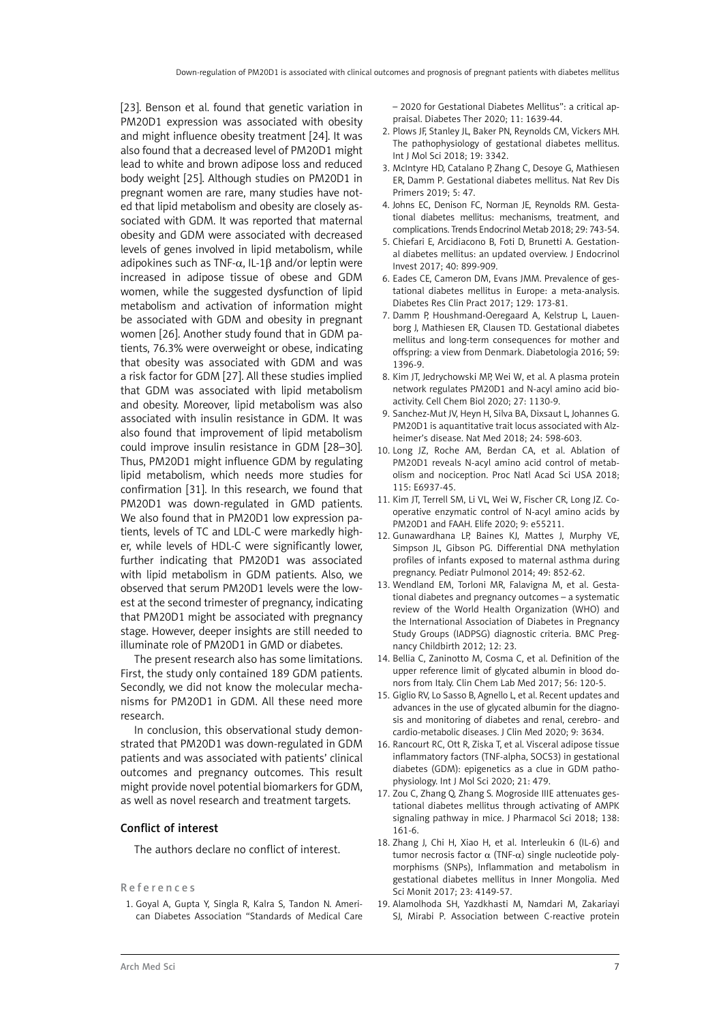[23]. Benson et al. found that genetic variation in PM20D1 expression was associated with obesity and might influence obesity treatment [24]. It was also found that a decreased level of PM20D1 might lead to white and brown adipose loss and reduced body weight [25]. Although studies on PM20D1 in pregnant women are rare, many studies have noted that lipid metabolism and obesity are closely associated with GDM. It was reported that maternal obesity and GDM were associated with decreased levels of genes involved in lipid metabolism, while adipokines such as TNF- $\alpha$ , IL-1B and/or leptin were increased in adipose tissue of obese and GDM women, while the suggested dysfunction of lipid metabolism and activation of information might be associated with GDM and obesity in pregnant women [26]. Another study found that in GDM patients, 76.3% were overweight or obese, indicating that obesity was associated with GDM and was a risk factor for GDM [27]. All these studies implied that GDM was associated with lipid metabolism and obesity. Moreover, lipid metabolism was also associated with insulin resistance in GDM. It was also found that improvement of lipid metabolism could improve insulin resistance in GDM [28–30]. Thus, PM20D1 might influence GDM by regulating lipid metabolism, which needs more studies for confirmation [31]. In this research, we found that PM20D1 was down-regulated in GMD patients. We also found that in PM20D1 low expression patients, levels of TC and LDL-C were markedly higher, while levels of HDL-C were significantly lower, further indicating that PM20D1 was associated with lipid metabolism in GDM patients. Also, we observed that serum PM20D1 levels were the lowest at the second trimester of pregnancy, indicating that PM20D1 might be associated with pregnancy stage. However, deeper insights are still needed to illuminate role of PM20D1 in GMD or diabetes.

The present research also has some limitations. First, the study only contained 189 GDM patients. Secondly, we did not know the molecular mechanisms for PM20D1 in GDM. All these need more research.

In conclusion, this observational study demonstrated that PM20D1 was down-regulated in GDM patients and was associated with patients' clinical outcomes and pregnancy outcomes. This result might provide novel potential biomarkers for GDM, as well as novel research and treatment targets.

#### Conflict of interest

The authors declare no conflict of interest.

#### References

1. Goyal A, Gupta Y, Singla R, Kalra S, Tandon N. American Diabetes Association "Standards of Medical Care – 2020 for Gestational Diabetes Mellitus": a critical appraisal. Diabetes Ther 2020; 11: 1639-44.

- 2. Plows JF, Stanley JL, Baker PN, Reynolds CM, Vickers MH. The pathophysiology of gestational diabetes mellitus. Int J Mol Sci 2018; 19: 3342.
- 3. McIntyre HD, Catalano P, Zhang C, Desoye G, Mathiesen ER, Damm P. Gestational diabetes mellitus. Nat Rev Dis Primers 2019; 5: 47.
- 4. Johns EC, Denison FC, Norman JE, Reynolds RM. Gestational diabetes mellitus: mechanisms, treatment, and complications. Trends Endocrinol Metab 2018; 29: 743-54.
- 5. Chiefari E, Arcidiacono B, Foti D, Brunetti A. Gestational diabetes mellitus: an updated overview. J Endocrinol Invest 2017; 40: 899-909.
- 6. Eades CE, Cameron DM, Evans JMM. Prevalence of gestational diabetes mellitus in Europe: a meta-analysis. Diabetes Res Clin Pract 2017; 129: 173-81.
- 7. Damm P, Houshmand-Oeregaard A, Kelstrup L, Lauenborg J, Mathiesen ER, Clausen TD. Gestational diabetes mellitus and long-term consequences for mother and offspring: a view from Denmark. Diabetologia 2016; 59: 1396-9.
- 8. Kim JT, Jedrychowski MP, Wei W, et al. A plasma protein network regulates PM20D1 and N-acyl amino acid bioactivity. Cell Chem Biol 2020; 27: 1130-9.
- 9. Sanchez-Mut JV, Heyn H, Silva BA, Dixsaut L, Johannes G. PM20D1 is aquantitative trait locus associated with Alzheimer's disease. Nat Med 2018; 24: 598-603.
- 10. Long JZ, Roche AM, Berdan CA, et al. Ablation of PM20D1 reveals N-acyl amino acid control of metabolism and nociception. Proc Natl Acad Sci USA 2018; 115: E6937-45.
- 11. Kim JT, Terrell SM, Li VL, Wei W, Fischer CR, Long JZ. Cooperative enzymatic control of N-acyl amino acids by PM20D1 and FAAH. Elife 2020; 9: e55211.
- 12. Gunawardhana LP, Baines KJ, Mattes J, Murphy VE, Simpson JL, Gibson PG. Differential DNA methylation profiles of infants exposed to maternal asthma during pregnancy. Pediatr Pulmonol 2014; 49: 852-62.
- 13. Wendland EM, Torloni MR, Falavigna M, et al. Gestational diabetes and pregnancy outcomes – a systematic review of the World Health Organization (WHO) and the International Association of Diabetes in Pregnancy Study Groups (IADPSG) diagnostic criteria. BMC Pregnancy Childbirth 2012; 12: 23.
- 14. Bellia C, Zaninotto M, Cosma C, et al. Definition of the upper reference limit of glycated albumin in blood donors from Italy. Clin Chem Lab Med 2017; 56: 120-5.
- 15. Giglio RV, Lo Sasso B, Agnello L, et al. Recent updates and advances in the use of glycated albumin for the diagnosis and monitoring of diabetes and renal, cerebro- and cardio-metabolic diseases. J Clin Med 2020; 9: 3634.
- 16. Rancourt RC, Ott R, Ziska T, et al. Visceral adipose tissue inflammatory factors (TNF-alpha, SOCS3) in gestational diabetes (GDM): epigenetics as a clue in GDM pathophysiology. Int J Mol Sci 2020; 21: 479.
- 17. Zou C, Zhang Q, Zhang S. Mogroside IIIE attenuates gestational diabetes mellitus through activating of AMPK signaling pathway in mice. J Pharmacol Sci 2018; 138: 161-6.
- 18. Zhang J, Chi H, Xiao H, et al. Interleukin 6 (IL-6) and tumor necrosis factor  $\alpha$  (TNF- $\alpha$ ) single nucleotide polymorphisms (SNPs), Inflammation and metabolism in gestational diabetes mellitus in Inner Mongolia. Med Sci Monit 2017; 23: 4149-57.
- 19. Alamolhoda SH, Yazdkhasti M, Namdari M, Zakariayi SJ, Mirabi P. Association between C-reactive protein